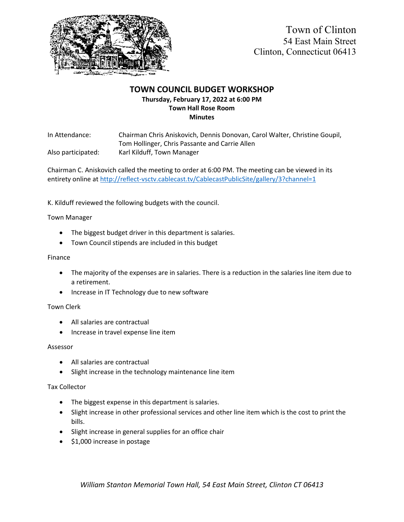

# **TOWN COUNCIL BUDGET WORKSHOP Thursday, February 17, 2022 at 6:00 PM Town Hall Rose Room Minutes**

In Attendance: Chairman Chris Aniskovich, Dennis Donovan, Carol Walter, Christine Goupil, Tom Hollinger, Chris Passante and Carrie Allen Also participated: Karl Kilduff, Town Manager

Chairman C. Aniskovich called the meeting to order at 6:00 PM. The meeting can be viewed in its entirety online at <http://reflect-vsctv.cablecast.tv/CablecastPublicSite/gallery/3?channel=1>

K. Kilduff reviewed the following budgets with the council.

# Town Manager

- The biggest budget driver in this department is salaries.
- Town Council stipends are included in this budget

## Finance

- The majority of the expenses are in salaries. There is a reduction in the salaries line item due to a retirement.
- Increase in IT Technology due to new software

#### Town Clerk

- All salaries are contractual
- Increase in travel expense line item

#### Assessor

- All salaries are contractual
- Slight increase in the technology maintenance line item

#### Tax Collector

- The biggest expense in this department is salaries.
- Slight increase in other professional services and other line item which is the cost to print the bills.
- Slight increase in general supplies for an office chair
- \$1,000 increase in postage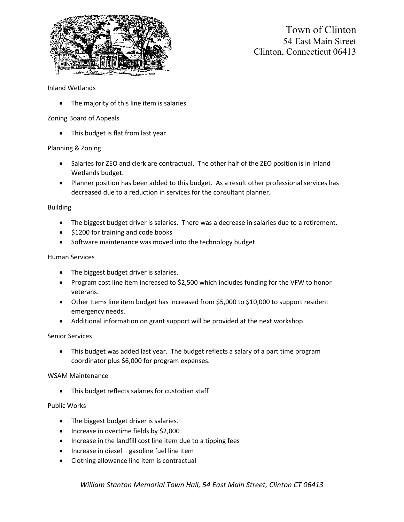

Town of Clinton 54 East Main Street Clinton, Connecticut 06413

## Inland Wetlands

• The majority of this line item is salaries.

# Zoning Board of Appeals

• This budget is flat from last year

# Planning & Zoning

- Salaries for ZEO and clerk are contractual. The other half of the ZEO position is in Inland Wetlands budget.
- Planner position has been added to this budget. As a result other professional services has decreased due to a reduction in services for the consultant planner.

#### Building

- The biggest budget driver is salaries. There was a decrease in salaries due to a retirement.
- \$1200 for training and code books
- Software maintenance was moved into the technology budget.

#### Human Services

- The biggest budget driver is salaries.
- Program cost line item increased to \$2,500 which includes funding for the VFW to honor veterans.
- Other Items line item budget has increased from \$5,000 to \$10,000 to support resident emergency needs.
- Additional information on grant support will be provided at the next workshop

#### Senior Services

• This budget was added last year. The budget reflects a salary of a part time program coordinator plus \$6,000 for program expenses.

#### WSAM Maintenance

• This budget reflects salaries for custodian staff

#### Public Works

- The biggest budget driver is salaries.
- Increase in overtime fields by \$2,000
- Increase in the landfill cost line item due to a tipping fees
- Increase in diesel gasoline fuel line item
- Clothing allowance line item is contractual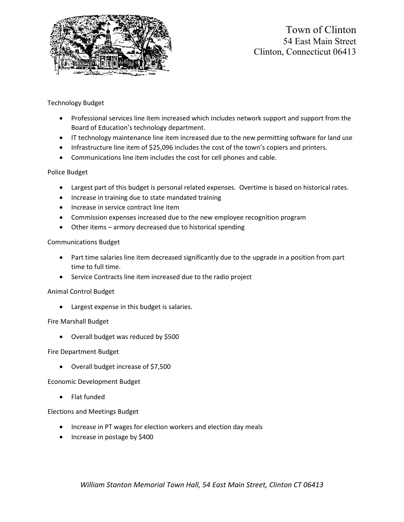

# Town of Clinton 54 East Main Street Clinton, Connecticut 06413

# Technology Budget

- Professional services line item increased which includes network support and support from the Board of Education's technology department.
- IT technology maintenance line item increased due to the new permitting software for land use
- Infrastructure line item of \$25,096 includes the cost of the town's copiers and printers.
- Communications line item includes the cost for cell phones and cable.

# Police Budget

- Largest part of this budget is personal related expenses. Overtime is based on historical rates.
- Increase in training due to state mandated training
- Increase in service contract line item
- Commission expenses increased due to the new employee recognition program
- Other items armory decreased due to historical spending

#### Communications Budget

- Part time salaries line item decreased significantly due to the upgrade in a position from part time to full time.
- Service Contracts line item increased due to the radio project

#### Animal Control Budget

• Largest expense in this budget is salaries.

#### Fire Marshall Budget

• Overall budget was reduced by \$500

#### Fire Department Budget

• Overall budget increase of \$7,500

#### Economic Development Budget

• Flat funded

#### Elections and Meetings Budget

- Increase in PT wages for election workers and election day meals
- Increase in postage by \$400